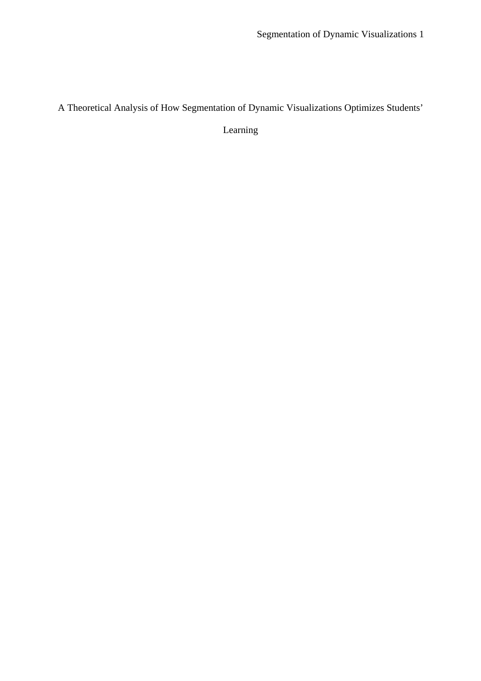A Theoretical Analysis of How Segmentation of Dynamic Visualizations Optimizes Students'

Learning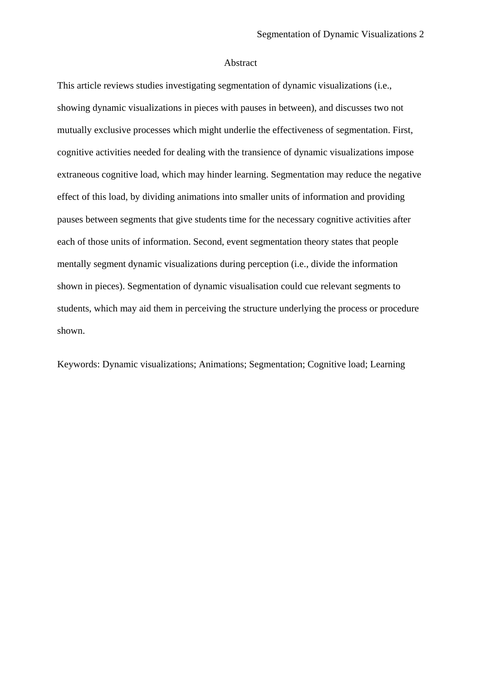#### Abstract

This article reviews studies investigating segmentation of dynamic visualizations (i.e., showing dynamic visualizations in pieces with pauses in between), and discusses two not mutually exclusive processes which might underlie the effectiveness of segmentation. First, cognitive activities needed for dealing with the transience of dynamic visualizations impose extraneous cognitive load, which may hinder learning. Segmentation may reduce the negative effect of this load, by dividing animations into smaller units of information and providing pauses between segments that give students time for the necessary cognitive activities after each of those units of information. Second, event segmentation theory states that people mentally segment dynamic visualizations during perception (i.e., divide the information shown in pieces). Segmentation of dynamic visualisation could cue relevant segments to students, which may aid them in perceiving the structure underlying the process or procedure shown.

Keywords: Dynamic visualizations; Animations; Segmentation; Cognitive load; Learning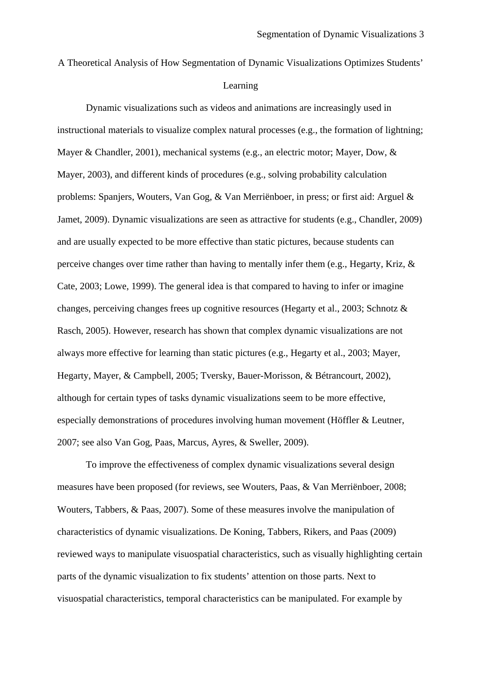A Theoretical Analysis of How Segmentation of Dynamic Visualizations Optimizes Students' Learning

Dynamic visualizations such as videos and animations are increasingly used in instructional materials to visualize complex natural processes (e.g., the formation of lightning; Mayer & Chandler, 2001), mechanical systems (e.g., an electric motor; Mayer, Dow, & Mayer, 2003), and different kinds of procedures (e.g., solving probability calculation problems: Spanjers, Wouters, Van Gog, & Van Merriënboer, in press; or first aid: Arguel & Jamet, 2009). Dynamic visualizations are seen as attractive for students (e.g., Chandler, 2009) and are usually expected to be more effective than static pictures, because students can perceive changes over time rather than having to mentally infer them (e.g., Hegarty, Kriz, & Cate, 2003; Lowe, 1999). The general idea is that compared to having to infer or imagine changes, perceiving changes frees up cognitive resources (Hegarty et al., 2003; Schnotz & Rasch, 2005). However, research has shown that complex dynamic visualizations are not always more effective for learning than static pictures (e.g., Hegarty et al., 2003; Mayer, Hegarty, Mayer, & Campbell, 2005; Tversky, Bauer-Morisson, & Bétrancourt, 2002), although for certain types of tasks dynamic visualizations seem to be more effective, especially demonstrations of procedures involving human movement (Höffler & Leutner, 2007; see also Van Gog, Paas, Marcus, Ayres, & Sweller, 2009).

 To improve the effectiveness of complex dynamic visualizations several design measures have been proposed (for reviews, see Wouters, Paas, & Van Merriënboer, 2008; Wouters, Tabbers, & Paas, 2007). Some of these measures involve the manipulation of characteristics of dynamic visualizations. De Koning, Tabbers, Rikers, and Paas (2009) reviewed ways to manipulate visuospatial characteristics, such as visually highlighting certain parts of the dynamic visualization to fix students' attention on those parts. Next to visuospatial characteristics, temporal characteristics can be manipulated. For example by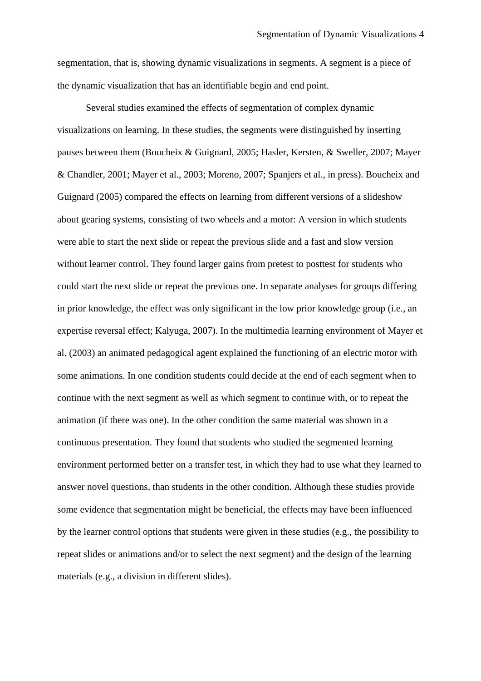segmentation, that is, showing dynamic visualizations in segments. A segment is a piece of the dynamic visualization that has an identifiable begin and end point.

Several studies examined the effects of segmentation of complex dynamic visualizations on learning. In these studies, the segments were distinguished by inserting pauses between them (Boucheix & Guignard, 2005; Hasler, Kersten, & Sweller, 2007; Mayer & Chandler, 2001; Mayer et al., 2003; Moreno, 2007; Spanjers et al., in press). Boucheix and Guignard (2005) compared the effects on learning from different versions of a slideshow about gearing systems, consisting of two wheels and a motor: A version in which students were able to start the next slide or repeat the previous slide and a fast and slow version without learner control. They found larger gains from pretest to posttest for students who could start the next slide or repeat the previous one. In separate analyses for groups differing in prior knowledge, the effect was only significant in the low prior knowledge group (i.e., an expertise reversal effect; Kalyuga, 2007). In the multimedia learning environment of Mayer et al. (2003) an animated pedagogical agent explained the functioning of an electric motor with some animations. In one condition students could decide at the end of each segment when to continue with the next segment as well as which segment to continue with, or to repeat the animation (if there was one). In the other condition the same material was shown in a continuous presentation. They found that students who studied the segmented learning environment performed better on a transfer test, in which they had to use what they learned to answer novel questions, than students in the other condition. Although these studies provide some evidence that segmentation might be beneficial, the effects may have been influenced by the learner control options that students were given in these studies (e.g., the possibility to repeat slides or animations and/or to select the next segment) and the design of the learning materials (e.g., a division in different slides).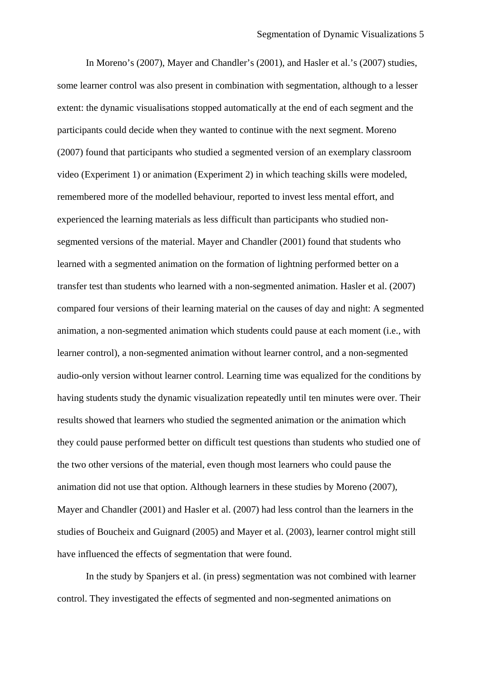In Moreno's (2007), Mayer and Chandler's (2001), and Hasler et al.'s (2007) studies, some learner control was also present in combination with segmentation, although to a lesser extent: the dynamic visualisations stopped automatically at the end of each segment and the participants could decide when they wanted to continue with the next segment. Moreno (2007) found that participants who studied a segmented version of an exemplary classroom video (Experiment 1) or animation (Experiment 2) in which teaching skills were modeled, remembered more of the modelled behaviour, reported to invest less mental effort, and experienced the learning materials as less difficult than participants who studied nonsegmented versions of the material. Mayer and Chandler (2001) found that students who learned with a segmented animation on the formation of lightning performed better on a transfer test than students who learned with a non-segmented animation. Hasler et al. (2007) compared four versions of their learning material on the causes of day and night: A segmented animation, a non-segmented animation which students could pause at each moment (i.e., with learner control), a non-segmented animation without learner control, and a non-segmented audio-only version without learner control. Learning time was equalized for the conditions by having students study the dynamic visualization repeatedly until ten minutes were over. Their results showed that learners who studied the segmented animation or the animation which they could pause performed better on difficult test questions than students who studied one of the two other versions of the material, even though most learners who could pause the animation did not use that option. Although learners in these studies by Moreno (2007), Mayer and Chandler (2001) and Hasler et al. (2007) had less control than the learners in the studies of Boucheix and Guignard (2005) and Mayer et al. (2003), learner control might still have influenced the effects of segmentation that were found.

In the study by Spanjers et al. (in press) segmentation was not combined with learner control. They investigated the effects of segmented and non-segmented animations on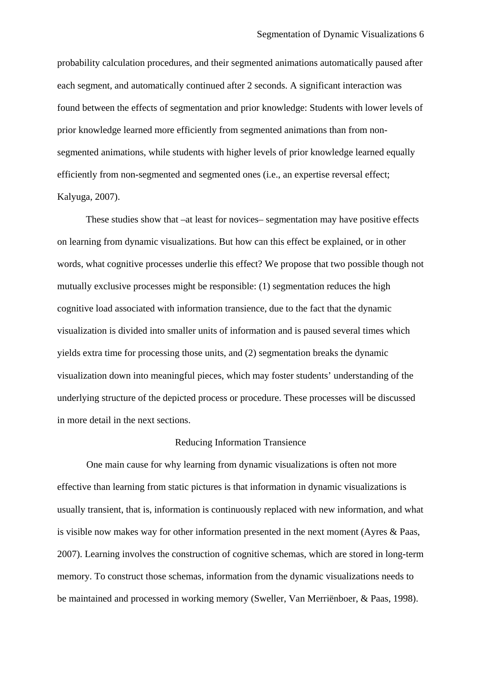probability calculation procedures, and their segmented animations automatically paused after each segment, and automatically continued after 2 seconds. A significant interaction was found between the effects of segmentation and prior knowledge: Students with lower levels of prior knowledge learned more efficiently from segmented animations than from nonsegmented animations, while students with higher levels of prior knowledge learned equally efficiently from non-segmented and segmented ones (i.e., an expertise reversal effect; Kalyuga, 2007).

These studies show that –at least for novices– segmentation may have positive effects on learning from dynamic visualizations. But how can this effect be explained, or in other words, what cognitive processes underlie this effect? We propose that two possible though not mutually exclusive processes might be responsible: (1) segmentation reduces the high cognitive load associated with information transience, due to the fact that the dynamic visualization is divided into smaller units of information and is paused several times which yields extra time for processing those units, and (2) segmentation breaks the dynamic visualization down into meaningful pieces, which may foster students' understanding of the underlying structure of the depicted process or procedure. These processes will be discussed in more detail in the next sections.

## Reducing Information Transience

One main cause for why learning from dynamic visualizations is often not more effective than learning from static pictures is that information in dynamic visualizations is usually transient, that is, information is continuously replaced with new information, and what is visible now makes way for other information presented in the next moment (Ayres & Paas, 2007). Learning involves the construction of cognitive schemas, which are stored in long-term memory. To construct those schemas, information from the dynamic visualizations needs to be maintained and processed in working memory (Sweller, Van Merriënboer, & Paas, 1998).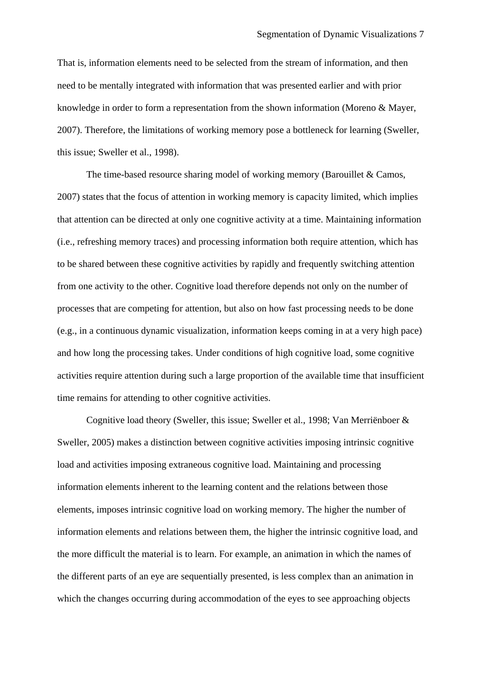That is, information elements need to be selected from the stream of information, and then need to be mentally integrated with information that was presented earlier and with prior knowledge in order to form a representation from the shown information (Moreno & Mayer, 2007). Therefore, the limitations of working memory pose a bottleneck for learning (Sweller, this issue; Sweller et al., 1998).

The time-based resource sharing model of working memory (Barouillet & Camos, 2007) states that the focus of attention in working memory is capacity limited, which implies that attention can be directed at only one cognitive activity at a time. Maintaining information (i.e., refreshing memory traces) and processing information both require attention, which has to be shared between these cognitive activities by rapidly and frequently switching attention from one activity to the other. Cognitive load therefore depends not only on the number of processes that are competing for attention, but also on how fast processing needs to be done (e.g., in a continuous dynamic visualization, information keeps coming in at a very high pace) and how long the processing takes. Under conditions of high cognitive load, some cognitive activities require attention during such a large proportion of the available time that insufficient time remains for attending to other cognitive activities.

Cognitive load theory (Sweller, this issue; Sweller et al., 1998; Van Merriënboer & Sweller, 2005) makes a distinction between cognitive activities imposing intrinsic cognitive load and activities imposing extraneous cognitive load. Maintaining and processing information elements inherent to the learning content and the relations between those elements, imposes intrinsic cognitive load on working memory. The higher the number of information elements and relations between them, the higher the intrinsic cognitive load, and the more difficult the material is to learn. For example, an animation in which the names of the different parts of an eye are sequentially presented, is less complex than an animation in which the changes occurring during accommodation of the eyes to see approaching objects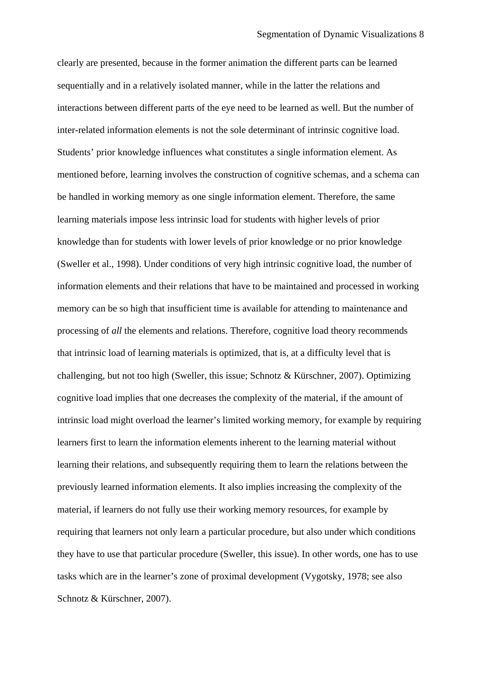clearly are presented, because in the former animation the different parts can be learned sequentially and in a relatively isolated manner, while in the latter the relations and interactions between different parts of the eye need to be learned as well. But the number of inter-related information elements is not the sole determinant of intrinsic cognitive load. Students' prior knowledge influences what constitutes a single information element. As mentioned before, learning involves the construction of cognitive schemas, and a schema can be handled in working memory as one single information element. Therefore, the same learning materials impose less intrinsic load for students with higher levels of prior knowledge than for students with lower levels of prior knowledge or no prior knowledge (Sweller et al., 1998). Under conditions of very high intrinsic cognitive load, the number of information elements and their relations that have to be maintained and processed in working memory can be so high that insufficient time is available for attending to maintenance and processing of *all* the elements and relations. Therefore, cognitive load theory recommends that intrinsic load of learning materials is optimized, that is, at a difficulty level that is challenging, but not too high (Sweller, this issue; Schnotz & Kürschner, 2007). Optimizing cognitive load implies that one decreases the complexity of the material, if the amount of intrinsic load might overload the learner's limited working memory, for example by requiring learners first to learn the information elements inherent to the learning material without learning their relations, and subsequently requiring them to learn the relations between the previously learned information elements. It also implies increasing the complexity of the material, if learners do not fully use their working memory resources, for example by requiring that learners not only learn a particular procedure, but also under which conditions they have to use that particular procedure (Sweller, this issue). In other words, one has to use tasks which are in the learner's zone of proximal development (Vygotsky, 1978; see also Schnotz & Kürschner, 2007).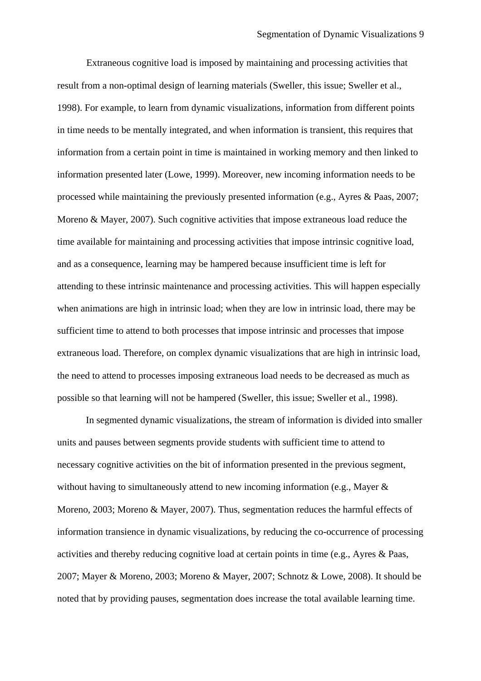Extraneous cognitive load is imposed by maintaining and processing activities that result from a non-optimal design of learning materials (Sweller, this issue; Sweller et al., 1998). For example, to learn from dynamic visualizations, information from different points in time needs to be mentally integrated, and when information is transient, this requires that information from a certain point in time is maintained in working memory and then linked to information presented later (Lowe, 1999). Moreover, new incoming information needs to be processed while maintaining the previously presented information (e.g., Ayres & Paas, 2007; Moreno & Mayer, 2007). Such cognitive activities that impose extraneous load reduce the time available for maintaining and processing activities that impose intrinsic cognitive load, and as a consequence, learning may be hampered because insufficient time is left for attending to these intrinsic maintenance and processing activities. This will happen especially when animations are high in intrinsic load; when they are low in intrinsic load, there may be sufficient time to attend to both processes that impose intrinsic and processes that impose extraneous load. Therefore, on complex dynamic visualizations that are high in intrinsic load, the need to attend to processes imposing extraneous load needs to be decreased as much as possible so that learning will not be hampered (Sweller, this issue; Sweller et al., 1998).

In segmented dynamic visualizations, the stream of information is divided into smaller units and pauses between segments provide students with sufficient time to attend to necessary cognitive activities on the bit of information presented in the previous segment, without having to simultaneously attend to new incoming information (e.g., Mayer & Moreno, 2003; Moreno & Mayer, 2007). Thus, segmentation reduces the harmful effects of information transience in dynamic visualizations, by reducing the co-occurrence of processing activities and thereby reducing cognitive load at certain points in time (e.g., Ayres & Paas, 2007; Mayer & Moreno, 2003; Moreno & Mayer, 2007; Schnotz & Lowe, 2008). It should be noted that by providing pauses, segmentation does increase the total available learning time.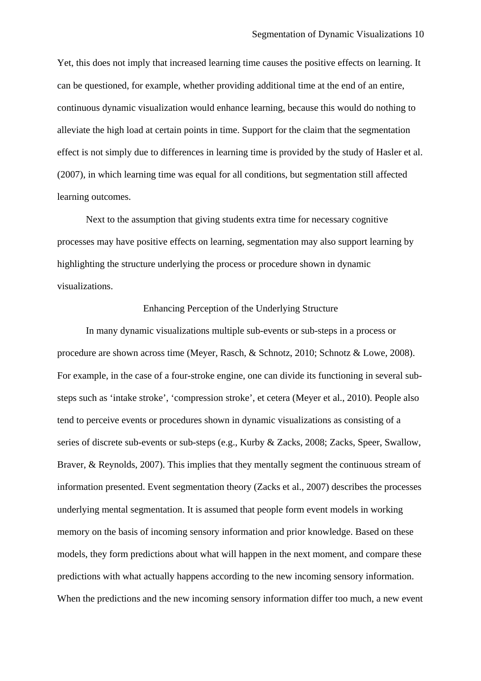Yet, this does not imply that increased learning time causes the positive effects on learning. It can be questioned, for example, whether providing additional time at the end of an entire, continuous dynamic visualization would enhance learning, because this would do nothing to alleviate the high load at certain points in time. Support for the claim that the segmentation effect is not simply due to differences in learning time is provided by the study of Hasler et al. (2007), in which learning time was equal for all conditions, but segmentation still affected learning outcomes.

Next to the assumption that giving students extra time for necessary cognitive processes may have positive effects on learning, segmentation may also support learning by highlighting the structure underlying the process or procedure shown in dynamic visualizations.

# Enhancing Perception of the Underlying Structure

In many dynamic visualizations multiple sub-events or sub-steps in a process or procedure are shown across time (Meyer, Rasch, & Schnotz, 2010; Schnotz & Lowe, 2008). For example, in the case of a four-stroke engine, one can divide its functioning in several substeps such as 'intake stroke', 'compression stroke', et cetera (Meyer et al., 2010). People also tend to perceive events or procedures shown in dynamic visualizations as consisting of a series of discrete sub-events or sub-steps (e.g., Kurby & Zacks, 2008; Zacks, Speer, Swallow, Braver, & Reynolds, 2007). This implies that they mentally segment the continuous stream of information presented. Event segmentation theory (Zacks et al., 2007) describes the processes underlying mental segmentation. It is assumed that people form event models in working memory on the basis of incoming sensory information and prior knowledge. Based on these models, they form predictions about what will happen in the next moment, and compare these predictions with what actually happens according to the new incoming sensory information. When the predictions and the new incoming sensory information differ too much, a new event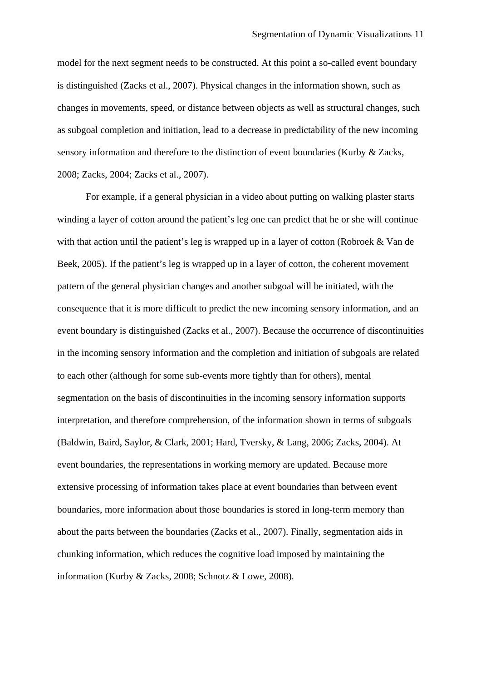model for the next segment needs to be constructed. At this point a so-called event boundary is distinguished (Zacks et al., 2007). Physical changes in the information shown, such as changes in movements, speed, or distance between objects as well as structural changes, such as subgoal completion and initiation, lead to a decrease in predictability of the new incoming sensory information and therefore to the distinction of event boundaries (Kurby & Zacks, 2008; Zacks, 2004; Zacks et al., 2007).

For example, if a general physician in a video about putting on walking plaster starts winding a layer of cotton around the patient's leg one can predict that he or she will continue with that action until the patient's leg is wrapped up in a layer of cotton (Robroek & Van de Beek, 2005). If the patient's leg is wrapped up in a layer of cotton, the coherent movement pattern of the general physician changes and another subgoal will be initiated, with the consequence that it is more difficult to predict the new incoming sensory information, and an event boundary is distinguished (Zacks et al., 2007). Because the occurrence of discontinuities in the incoming sensory information and the completion and initiation of subgoals are related to each other (although for some sub-events more tightly than for others), mental segmentation on the basis of discontinuities in the incoming sensory information supports interpretation, and therefore comprehension, of the information shown in terms of subgoals (Baldwin, Baird, Saylor, & Clark, 2001; Hard, Tversky, & Lang, 2006; Zacks, 2004). At event boundaries, the representations in working memory are updated. Because more extensive processing of information takes place at event boundaries than between event boundaries, more information about those boundaries is stored in long-term memory than about the parts between the boundaries (Zacks et al., 2007). Finally, segmentation aids in chunking information, which reduces the cognitive load imposed by maintaining the information (Kurby & Zacks, 2008; Schnotz & Lowe, 2008).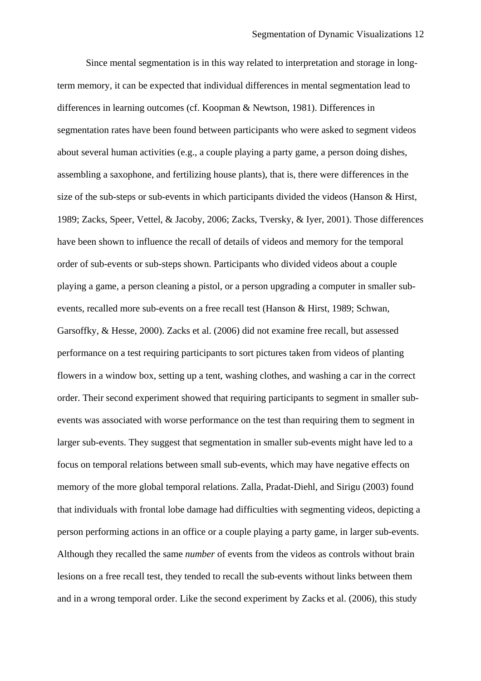Since mental segmentation is in this way related to interpretation and storage in longterm memory, it can be expected that individual differences in mental segmentation lead to differences in learning outcomes (cf. Koopman & Newtson, 1981). Differences in segmentation rates have been found between participants who were asked to segment videos about several human activities (e.g., a couple playing a party game, a person doing dishes, assembling a saxophone, and fertilizing house plants), that is, there were differences in the size of the sub-steps or sub-events in which participants divided the videos (Hanson & Hirst, 1989; Zacks, Speer, Vettel, & Jacoby, 2006; Zacks, Tversky, & Iyer, 2001). Those differences have been shown to influence the recall of details of videos and memory for the temporal order of sub-events or sub-steps shown. Participants who divided videos about a couple playing a game, a person cleaning a pistol, or a person upgrading a computer in smaller subevents, recalled more sub-events on a free recall test (Hanson & Hirst, 1989; Schwan, Garsoffky, & Hesse, 2000). Zacks et al. (2006) did not examine free recall, but assessed performance on a test requiring participants to sort pictures taken from videos of planting flowers in a window box, setting up a tent, washing clothes, and washing a car in the correct order. Their second experiment showed that requiring participants to segment in smaller subevents was associated with worse performance on the test than requiring them to segment in larger sub-events. They suggest that segmentation in smaller sub-events might have led to a focus on temporal relations between small sub-events, which may have negative effects on memory of the more global temporal relations. Zalla, Pradat-Diehl, and Sirigu (2003) found that individuals with frontal lobe damage had difficulties with segmenting videos, depicting a person performing actions in an office or a couple playing a party game, in larger sub-events. Although they recalled the same *number* of events from the videos as controls without brain lesions on a free recall test, they tended to recall the sub-events without links between them and in a wrong temporal order. Like the second experiment by Zacks et al. (2006), this study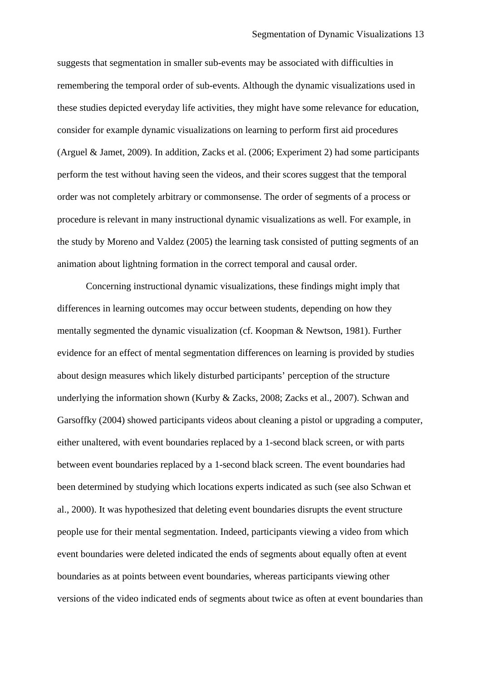suggests that segmentation in smaller sub-events may be associated with difficulties in remembering the temporal order of sub-events. Although the dynamic visualizations used in these studies depicted everyday life activities, they might have some relevance for education, consider for example dynamic visualizations on learning to perform first aid procedures (Arguel & Jamet, 2009). In addition, Zacks et al. (2006; Experiment 2) had some participants perform the test without having seen the videos, and their scores suggest that the temporal order was not completely arbitrary or commonsense. The order of segments of a process or procedure is relevant in many instructional dynamic visualizations as well. For example, in the study by Moreno and Valdez (2005) the learning task consisted of putting segments of an animation about lightning formation in the correct temporal and causal order.

Concerning instructional dynamic visualizations, these findings might imply that differences in learning outcomes may occur between students, depending on how they mentally segmented the dynamic visualization (cf. Koopman & Newtson, 1981). Further evidence for an effect of mental segmentation differences on learning is provided by studies about design measures which likely disturbed participants' perception of the structure underlying the information shown (Kurby & Zacks, 2008; Zacks et al., 2007). Schwan and Garsoffky (2004) showed participants videos about cleaning a pistol or upgrading a computer, either unaltered, with event boundaries replaced by a 1-second black screen, or with parts between event boundaries replaced by a 1-second black screen. The event boundaries had been determined by studying which locations experts indicated as such (see also Schwan et al., 2000). It was hypothesized that deleting event boundaries disrupts the event structure people use for their mental segmentation. Indeed, participants viewing a video from which event boundaries were deleted indicated the ends of segments about equally often at event boundaries as at points between event boundaries, whereas participants viewing other versions of the video indicated ends of segments about twice as often at event boundaries than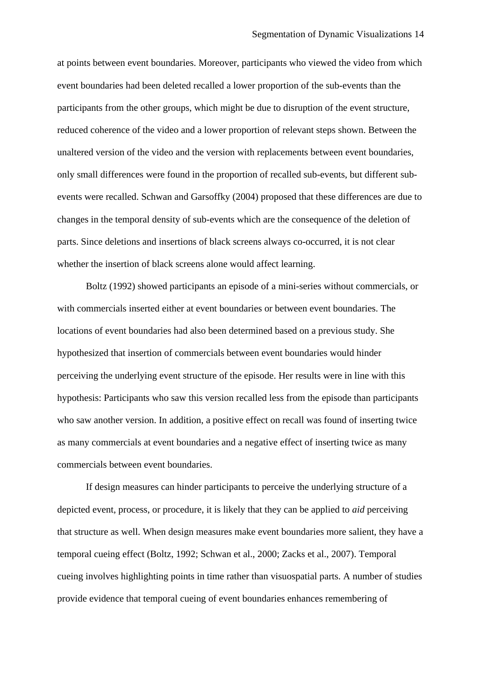at points between event boundaries. Moreover, participants who viewed the video from which event boundaries had been deleted recalled a lower proportion of the sub-events than the participants from the other groups, which might be due to disruption of the event structure, reduced coherence of the video and a lower proportion of relevant steps shown. Between the unaltered version of the video and the version with replacements between event boundaries, only small differences were found in the proportion of recalled sub-events, but different subevents were recalled. Schwan and Garsoffky (2004) proposed that these differences are due to changes in the temporal density of sub-events which are the consequence of the deletion of parts. Since deletions and insertions of black screens always co-occurred, it is not clear whether the insertion of black screens alone would affect learning.

Boltz (1992) showed participants an episode of a mini-series without commercials, or with commercials inserted either at event boundaries or between event boundaries. The locations of event boundaries had also been determined based on a previous study. She hypothesized that insertion of commercials between event boundaries would hinder perceiving the underlying event structure of the episode. Her results were in line with this hypothesis: Participants who saw this version recalled less from the episode than participants who saw another version. In addition, a positive effect on recall was found of inserting twice as many commercials at event boundaries and a negative effect of inserting twice as many commercials between event boundaries.

If design measures can hinder participants to perceive the underlying structure of a depicted event, process, or procedure, it is likely that they can be applied to *aid* perceiving that structure as well. When design measures make event boundaries more salient, they have a temporal cueing effect (Boltz, 1992; Schwan et al., 2000; Zacks et al., 2007). Temporal cueing involves highlighting points in time rather than visuospatial parts. A number of studies provide evidence that temporal cueing of event boundaries enhances remembering of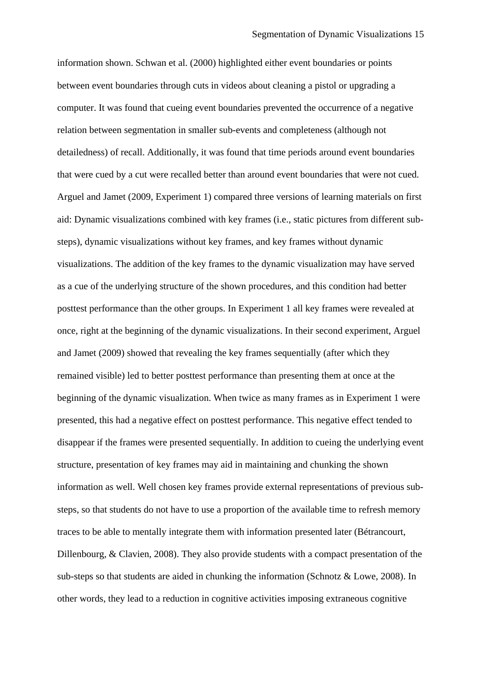information shown. Schwan et al. (2000) highlighted either event boundaries or points between event boundaries through cuts in videos about cleaning a pistol or upgrading a computer. It was found that cueing event boundaries prevented the occurrence of a negative relation between segmentation in smaller sub-events and completeness (although not detailedness) of recall. Additionally, it was found that time periods around event boundaries that were cued by a cut were recalled better than around event boundaries that were not cued. Arguel and Jamet (2009, Experiment 1) compared three versions of learning materials on first aid: Dynamic visualizations combined with key frames (i.e., static pictures from different substeps), dynamic visualizations without key frames, and key frames without dynamic visualizations. The addition of the key frames to the dynamic visualization may have served as a cue of the underlying structure of the shown procedures, and this condition had better posttest performance than the other groups. In Experiment 1 all key frames were revealed at once, right at the beginning of the dynamic visualizations. In their second experiment, Arguel and Jamet (2009) showed that revealing the key frames sequentially (after which they remained visible) led to better posttest performance than presenting them at once at the beginning of the dynamic visualization. When twice as many frames as in Experiment 1 were presented, this had a negative effect on posttest performance. This negative effect tended to disappear if the frames were presented sequentially. In addition to cueing the underlying event structure, presentation of key frames may aid in maintaining and chunking the shown information as well. Well chosen key frames provide external representations of previous substeps, so that students do not have to use a proportion of the available time to refresh memory traces to be able to mentally integrate them with information presented later (Bétrancourt, Dillenbourg, & Clavien, 2008). They also provide students with a compact presentation of the sub-steps so that students are aided in chunking the information (Schnotz & Lowe, 2008). In other words, they lead to a reduction in cognitive activities imposing extraneous cognitive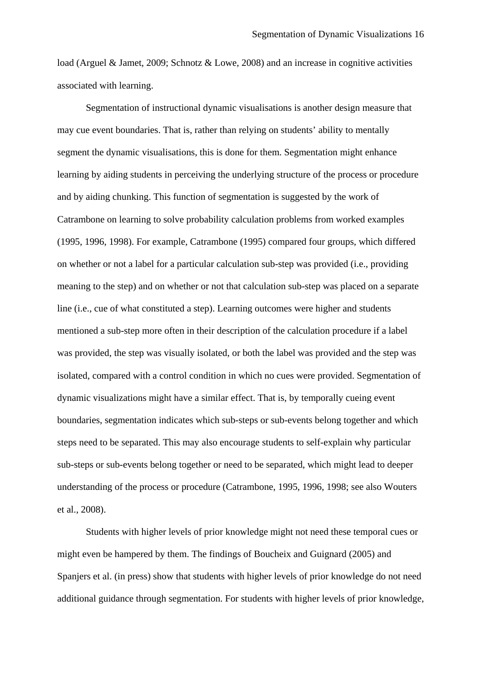load (Arguel & Jamet, 2009; Schnotz & Lowe, 2008) and an increase in cognitive activities associated with learning.

Segmentation of instructional dynamic visualisations is another design measure that may cue event boundaries. That is, rather than relying on students' ability to mentally segment the dynamic visualisations, this is done for them. Segmentation might enhance learning by aiding students in perceiving the underlying structure of the process or procedure and by aiding chunking. This function of segmentation is suggested by the work of Catrambone on learning to solve probability calculation problems from worked examples (1995, 1996, 1998). For example, Catrambone (1995) compared four groups, which differed on whether or not a label for a particular calculation sub-step was provided (i.e., providing meaning to the step) and on whether or not that calculation sub-step was placed on a separate line (i.e., cue of what constituted a step). Learning outcomes were higher and students mentioned a sub-step more often in their description of the calculation procedure if a label was provided, the step was visually isolated, or both the label was provided and the step was isolated, compared with a control condition in which no cues were provided. Segmentation of dynamic visualizations might have a similar effect. That is, by temporally cueing event boundaries, segmentation indicates which sub-steps or sub-events belong together and which steps need to be separated. This may also encourage students to self-explain why particular sub-steps or sub-events belong together or need to be separated, which might lead to deeper understanding of the process or procedure (Catrambone, 1995, 1996, 1998; see also Wouters et al., 2008).

Students with higher levels of prior knowledge might not need these temporal cues or might even be hampered by them. The findings of Boucheix and Guignard (2005) and Spanjers et al. (in press) show that students with higher levels of prior knowledge do not need additional guidance through segmentation. For students with higher levels of prior knowledge,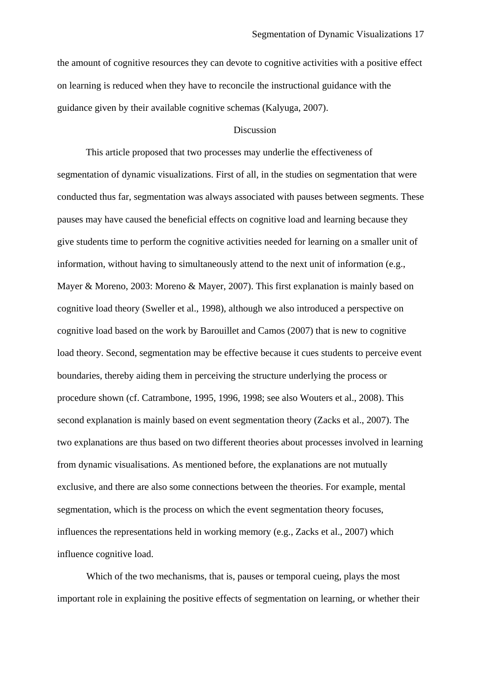the amount of cognitive resources they can devote to cognitive activities with a positive effect on learning is reduced when they have to reconcile the instructional guidance with the guidance given by their available cognitive schemas (Kalyuga, 2007).

# Discussion

This article proposed that two processes may underlie the effectiveness of segmentation of dynamic visualizations. First of all, in the studies on segmentation that were conducted thus far, segmentation was always associated with pauses between segments. These pauses may have caused the beneficial effects on cognitive load and learning because they give students time to perform the cognitive activities needed for learning on a smaller unit of information, without having to simultaneously attend to the next unit of information (e.g., Mayer & Moreno, 2003: Moreno & Mayer, 2007). This first explanation is mainly based on cognitive load theory (Sweller et al., 1998), although we also introduced a perspective on cognitive load based on the work by Barouillet and Camos (2007) that is new to cognitive load theory. Second, segmentation may be effective because it cues students to perceive event boundaries, thereby aiding them in perceiving the structure underlying the process or procedure shown (cf. Catrambone, 1995, 1996, 1998; see also Wouters et al., 2008). This second explanation is mainly based on event segmentation theory (Zacks et al., 2007). The two explanations are thus based on two different theories about processes involved in learning from dynamic visualisations. As mentioned before, the explanations are not mutually exclusive, and there are also some connections between the theories. For example, mental segmentation, which is the process on which the event segmentation theory focuses, influences the representations held in working memory (e.g., Zacks et al., 2007) which influence cognitive load.

Which of the two mechanisms, that is, pauses or temporal cueing, plays the most important role in explaining the positive effects of segmentation on learning, or whether their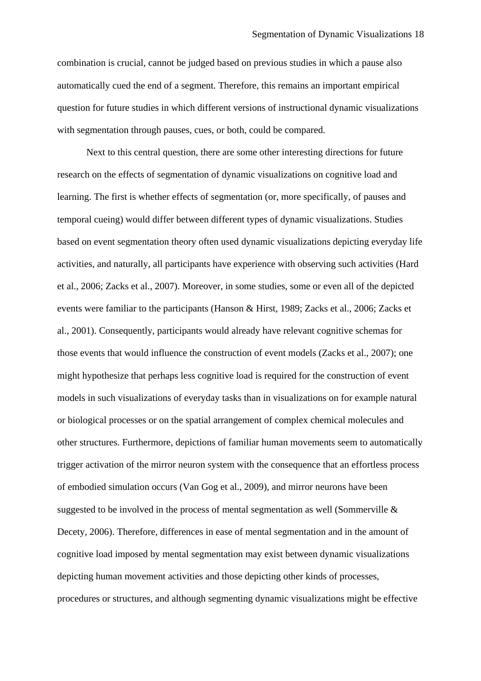combination is crucial, cannot be judged based on previous studies in which a pause also automatically cued the end of a segment. Therefore, this remains an important empirical question for future studies in which different versions of instructional dynamic visualizations with segmentation through pauses, cues, or both, could be compared.

Next to this central question, there are some other interesting directions for future research on the effects of segmentation of dynamic visualizations on cognitive load and learning. The first is whether effects of segmentation (or, more specifically, of pauses and temporal cueing) would differ between different types of dynamic visualizations. Studies based on event segmentation theory often used dynamic visualizations depicting everyday life activities, and naturally, all participants have experience with observing such activities (Hard et al., 2006; Zacks et al., 2007). Moreover, in some studies, some or even all of the depicted events were familiar to the participants (Hanson & Hirst, 1989; Zacks et al., 2006; Zacks et al., 2001). Consequently, participants would already have relevant cognitive schemas for those events that would influence the construction of event models (Zacks et al., 2007); one might hypothesize that perhaps less cognitive load is required for the construction of event models in such visualizations of everyday tasks than in visualizations on for example natural or biological processes or on the spatial arrangement of complex chemical molecules and other structures. Furthermore, depictions of familiar human movements seem to automatically trigger activation of the mirror neuron system with the consequence that an effortless process of embodied simulation occurs (Van Gog et al., 2009), and mirror neurons have been suggested to be involved in the process of mental segmentation as well (Sommerville & Decety, 2006). Therefore, differences in ease of mental segmentation and in the amount of cognitive load imposed by mental segmentation may exist between dynamic visualizations depicting human movement activities and those depicting other kinds of processes, procedures or structures, and although segmenting dynamic visualizations might be effective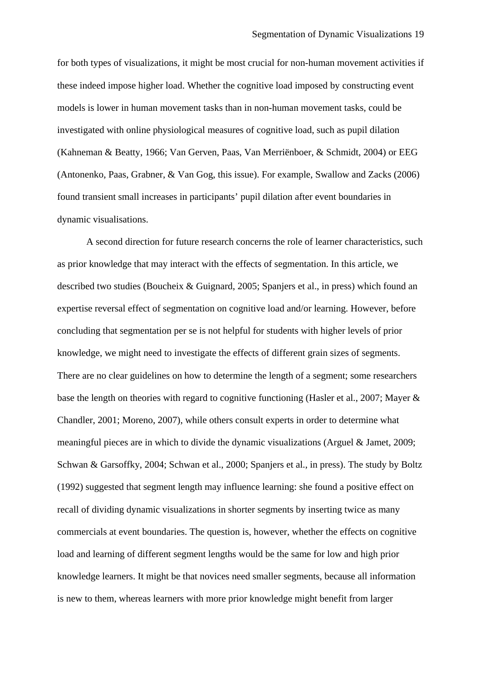for both types of visualizations, it might be most crucial for non-human movement activities if these indeed impose higher load. Whether the cognitive load imposed by constructing event models is lower in human movement tasks than in non-human movement tasks, could be investigated with online physiological measures of cognitive load, such as pupil dilation (Kahneman & Beatty, 1966; Van Gerven, Paas, Van Merriënboer, & Schmidt, 2004) or EEG (Antonenko, Paas, Grabner, & Van Gog, this issue). For example, Swallow and Zacks (2006) found transient small increases in participants' pupil dilation after event boundaries in dynamic visualisations.

A second direction for future research concerns the role of learner characteristics, such as prior knowledge that may interact with the effects of segmentation. In this article, we described two studies (Boucheix & Guignard, 2005; Spanjers et al., in press) which found an expertise reversal effect of segmentation on cognitive load and/or learning. However, before concluding that segmentation per se is not helpful for students with higher levels of prior knowledge, we might need to investigate the effects of different grain sizes of segments. There are no clear guidelines on how to determine the length of a segment; some researchers base the length on theories with regard to cognitive functioning (Hasler et al., 2007; Mayer & Chandler, 2001; Moreno, 2007), while others consult experts in order to determine what meaningful pieces are in which to divide the dynamic visualizations (Arguel & Jamet, 2009; Schwan & Garsoffky, 2004; Schwan et al., 2000; Spanjers et al., in press). The study by Boltz (1992) suggested that segment length may influence learning: she found a positive effect on recall of dividing dynamic visualizations in shorter segments by inserting twice as many commercials at event boundaries. The question is, however, whether the effects on cognitive load and learning of different segment lengths would be the same for low and high prior knowledge learners. It might be that novices need smaller segments, because all information is new to them, whereas learners with more prior knowledge might benefit from larger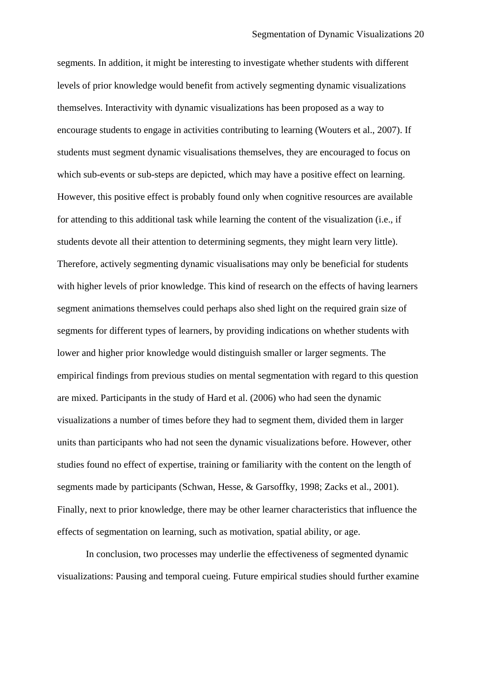segments. In addition, it might be interesting to investigate whether students with different levels of prior knowledge would benefit from actively segmenting dynamic visualizations themselves. Interactivity with dynamic visualizations has been proposed as a way to encourage students to engage in activities contributing to learning (Wouters et al., 2007). If students must segment dynamic visualisations themselves, they are encouraged to focus on which sub-events or sub-steps are depicted, which may have a positive effect on learning. However, this positive effect is probably found only when cognitive resources are available for attending to this additional task while learning the content of the visualization (i.e., if students devote all their attention to determining segments, they might learn very little). Therefore, actively segmenting dynamic visualisations may only be beneficial for students with higher levels of prior knowledge. This kind of research on the effects of having learners segment animations themselves could perhaps also shed light on the required grain size of segments for different types of learners, by providing indications on whether students with lower and higher prior knowledge would distinguish smaller or larger segments. The empirical findings from previous studies on mental segmentation with regard to this question are mixed. Participants in the study of Hard et al. (2006) who had seen the dynamic visualizations a number of times before they had to segment them, divided them in larger units than participants who had not seen the dynamic visualizations before. However, other studies found no effect of expertise, training or familiarity with the content on the length of segments made by participants (Schwan, Hesse, & Garsoffky, 1998; Zacks et al., 2001). Finally, next to prior knowledge, there may be other learner characteristics that influence the effects of segmentation on learning, such as motivation, spatial ability, or age.

In conclusion, two processes may underlie the effectiveness of segmented dynamic visualizations: Pausing and temporal cueing. Future empirical studies should further examine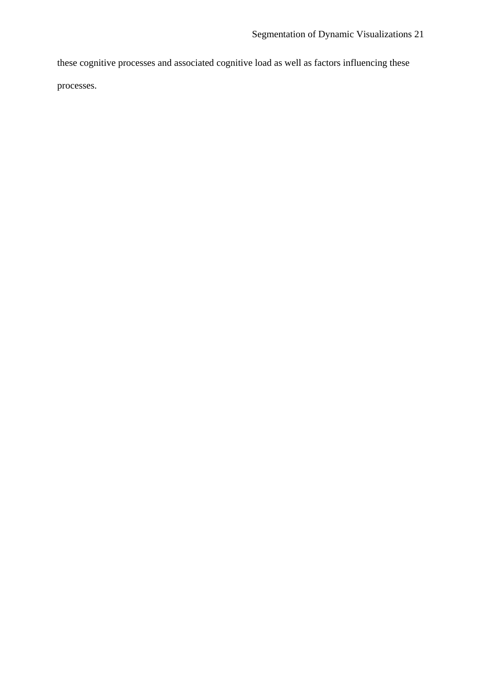these cognitive processes and associated cognitive load as well as factors influencing these

processes.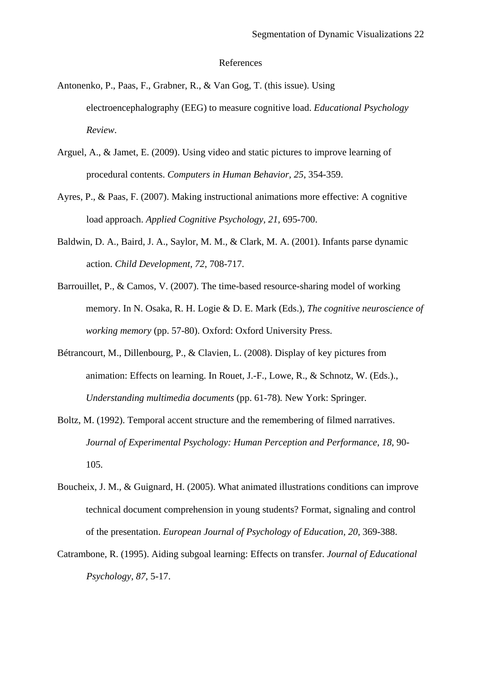### References

- Antonenko, P., Paas, F., Grabner, R., & Van Gog, T. (this issue). Using electroencephalography (EEG) to measure cognitive load. *Educational Psychology Review*.
- Arguel, A., & Jamet, E. (2009). Using video and static pictures to improve learning of procedural contents. *Computers in Human Behavior, 25*, 354-359.
- Ayres, P., & Paas, F. (2007). Making instructional animations more effective: A cognitive load approach. *Applied Cognitive Psychology, 21,* 695-700.
- Baldwin, D. A., Baird, J. A., Saylor, M. M., & Clark, M. A. (2001). Infants parse dynamic action. *Child Development, 72*, 708-717.
- Barrouillet, P., & Camos, V. (2007). The time-based resource-sharing model of working memory. In N. Osaka, R. H. Logie & D. E. Mark (Eds.), *The cognitive neuroscience of working memory* (pp. 57-80). Oxford: Oxford University Press.
- Bétrancourt, M., Dillenbourg, P., & Clavien, L. (2008). Display of key pictures from animation: Effects on learning. In Rouet, J.-F., Lowe, R., & Schnotz, W. (Eds.)., *Understanding multimedia documents* (pp. 61-78)*.* New York: Springer.
- Boltz, M. (1992). Temporal accent structure and the remembering of filmed narratives. *Journal of Experimental Psychology: Human Perception and Performance, 18, 90-*105.
- Boucheix, J. M., & Guignard, H. (2005). What animated illustrations conditions can improve technical document comprehension in young students? Format, signaling and control of the presentation. *European Journal of Psychology of Education, 20,* 369-388.
- Catrambone, R. (1995). Aiding subgoal learning: Effects on transfer. *Journal of Educational Psychology, 87,* 5-17.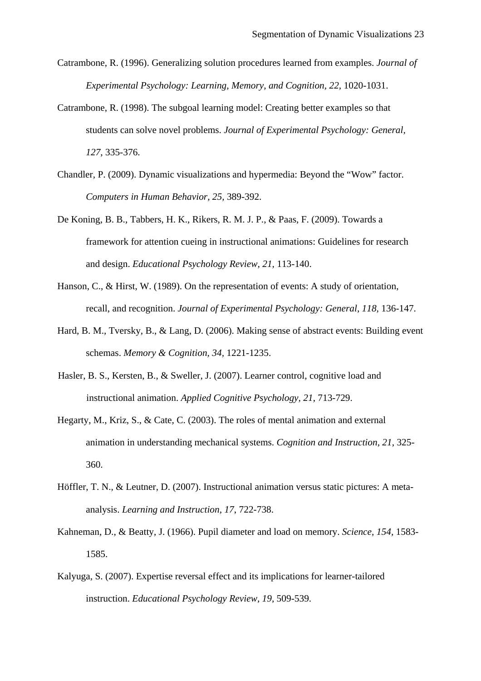- Catrambone, R. (1996). Generalizing solution procedures learned from examples. *Journal of Experimental Psychology: Learning, Memory, and Cognition, 22, 1020-1031.*
- Catrambone, R. (1998). The subgoal learning model: Creating better examples so that students can solve novel problems. *Journal of Experimental Psychology: General, 127*, 335-376.
- Chandler, P. (2009). Dynamic visualizations and hypermedia: Beyond the "Wow" factor. *Computers in Human Behavior, 25,* 389-392.
- De Koning, B. B., Tabbers, H. K., Rikers, R. M. J. P., & Paas, F. (2009). Towards a framework for attention cueing in instructional animations: Guidelines for research and design. *Educational Psychology Review, 21,* 113-140.
- Hanson, C., & Hirst, W. (1989). On the representation of events: A study of orientation, recall, and recognition. *Journal of Experimental Psychology: General, 118, 136-147.*
- Hard, B. M., Tversky, B., & Lang, D. (2006). Making sense of abstract events: Building event schemas. *Memory & Cognition, 34,* 1221-1235.
- Hasler, B. S., Kersten, B., & Sweller, J. (2007). Learner control, cognitive load and instructional animation. *Applied Cognitive Psychology, 21*, 713-729.
- Hegarty, M., Kriz, S., & Cate, C. (2003). The roles of mental animation and external animation in understanding mechanical systems. *Cognition and Instruction, 21*, 325- 360.
- Höffler, T. N., & Leutner, D. (2007). Instructional animation versus static pictures: A metaanalysis. *Learning and Instruction, 17*, 722-738.
- Kahneman, D., & Beatty, J. (1966). Pupil diameter and load on memory. *Science, 154,* 1583- 1585.
- Kalyuga, S. (2007). Expertise reversal effect and its implications for learner-tailored instruction. *Educational Psychology Review, 19,* 509-539.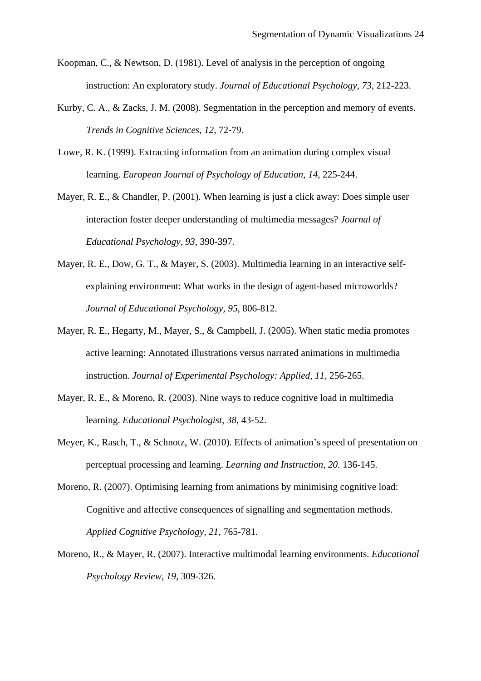- Koopman, C., & Newtson, D. (1981). Level of analysis in the perception of ongoing instruction: An exploratory study. *Journal of Educational Psychology, 73,* 212-223.
- Kurby, C. A., & Zacks, J. M. (2008). Segmentation in the perception and memory of events. *Trends in Cognitive Sciences, 12*, 72-79.
- Lowe, R. K. (1999). Extracting information from an animation during complex visual learning. *European Journal of Psychology of Education, 14,* 225-244.
- Mayer, R. E., & Chandler, P. (2001). When learning is just a click away: Does simple user interaction foster deeper understanding of multimedia messages? *Journal of Educational Psychology, 93*, 390-397.
- Mayer, R. E., Dow, G. T., & Mayer, S. (2003). Multimedia learning in an interactive selfexplaining environment: What works in the design of agent-based microworlds? *Journal of Educational Psychology, 95*, 806-812.
- Mayer, R. E., Hegarty, M., Mayer, S., & Campbell, J. (2005). When static media promotes active learning: Annotated illustrations versus narrated animations in multimedia instruction. *Journal of Experimental Psychology: Applied, 11*, 256-265.
- Mayer, R. E., & Moreno, R. (2003). Nine ways to reduce cognitive load in multimedia learning. *Educational Psychologist, 38*, 43-52.
- Meyer, K., Rasch, T., & Schnotz, W. (2010). Effects of animation's speed of presentation on perceptual processing and learning. *Learning and Instruction, 20.* 136-145.
- Moreno, R. (2007). Optimising learning from animations by minimising cognitive load: Cognitive and affective consequences of signalling and segmentation methods. *Applied Cognitive Psychology, 21,* 765-781.
- Moreno, R., & Mayer, R. (2007). Interactive multimodal learning environments. *Educational Psychology Review, 19,* 309-326.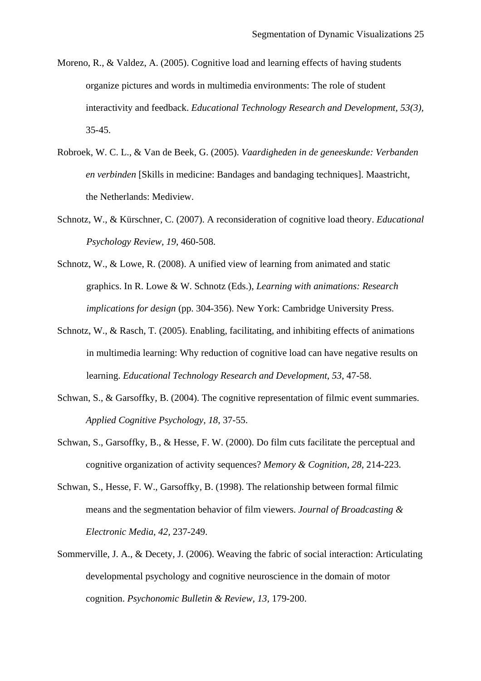- Moreno, R., & Valdez, A. (2005). Cognitive load and learning effects of having students organize pictures and words in multimedia environments: The role of student interactivity and feedback. *Educational Technology Research and Development, 53(3),*  35-45.
- Robroek, W. C. L., & Van de Beek, G. (2005). *Vaardigheden in de geneeskunde: Verbanden en verbinden* [Skills in medicine: Bandages and bandaging techniques]. Maastricht, the Netherlands: Mediview.
- Schnotz, W., & Kürschner, C. (2007). A reconsideration of cognitive load theory. *Educational Psychology Review, 19,* 460-508.
- Schnotz, W., & Lowe, R. (2008). A unified view of learning from animated and static graphics. In R. Lowe & W. Schnotz (Eds.), *Learning with animations: Research implications for design* (pp. 304-356). New York: Cambridge University Press.
- Schnotz, W., & Rasch, T. (2005). Enabling, facilitating, and inhibiting effects of animations in multimedia learning: Why reduction of cognitive load can have negative results on learning. *Educational Technology Research and Development*, *53*, 47-58.
- Schwan, S., & Garsoffky, B. (2004). The cognitive representation of filmic event summaries. *Applied Cognitive Psychology, 18*, 37-55.
- Schwan, S., Garsoffky, B., & Hesse, F. W. (2000). Do film cuts facilitate the perceptual and cognitive organization of activity sequences? *Memory & Cognition, 28*, 214-223.
- Schwan, S., Hesse, F. W., Garsoffky, B. (1998). The relationship between formal filmic means and the segmentation behavior of film viewers. *Journal of Broadcasting & Electronic Media, 42,* 237-249.
- Sommerville, J. A., & Decety, J. (2006). Weaving the fabric of social interaction: Articulating developmental psychology and cognitive neuroscience in the domain of motor cognition. *Psychonomic Bulletin & Review, 13,* 179-200.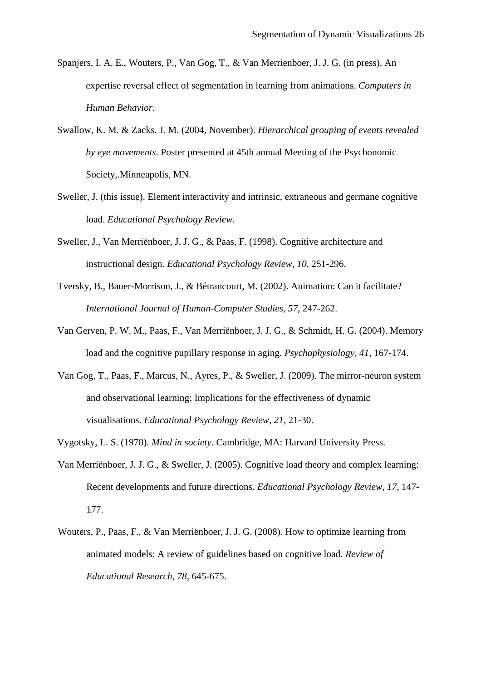- Spanjers, I. A. E., Wouters, P., Van Gog, T., & Van Merrienboer, J. J. G. (in press). An expertise reversal effect of segmentation in learning from animations. *Computers in Human Behavior.*
- Swallow, K. M. & Zacks, J. M. (2004, November). *Hierarchical grouping of events revealed by eye movements.* Poster presented at 45th annual Meeting of the Psychonomic Society,.Minneapolis, MN.
- Sweller, J. (this issue). Element interactivity and intrinsic, extraneous and germane cognitive load. *Educational Psychology Review.*
- Sweller, J., Van Merriënboer, J. J. G., & Paas, F. (1998). Cognitive architecture and instructional design. *Educational Psychology Review, 10*, 251-296.
- Tversky, B., Bauer-Morrison, J., & Bétrancourt, M. (2002). Animation: Can it facilitate? *International Journal of Human-Computer Studies, 57*, 247-262.
- Van Gerven, P. W. M., Paas, F., Van Merriënboer, J. J. G., & Schmidt, H. G. (2004). Memory load and the cognitive pupillary response in aging. *Psychophysiology, 41*, 167-174.
- Van Gog, T., Paas, F., Marcus, N., Ayres, P., & Sweller, J. (2009). The mirror-neuron system and observational learning: Implications for the effectiveness of dynamic visualisations. *Educational Psychology Review, 21,* 21-30.
- Vygotsky, L. S. (1978). *Mind in society*. Cambridge, MA: Harvard University Press.
- Van Merriënboer, J. J. G., & Sweller, J. (2005). Cognitive load theory and complex learning: Recent developments and future directions. *Educational Psychology Review, 17,* 147- 177.
- Wouters, P., Paas, F., & Van Merriënboer, J. J. G. (2008). How to optimize learning from animated models: A review of guidelines based on cognitive load. *Review of Educational Research, 78,* 645-675.